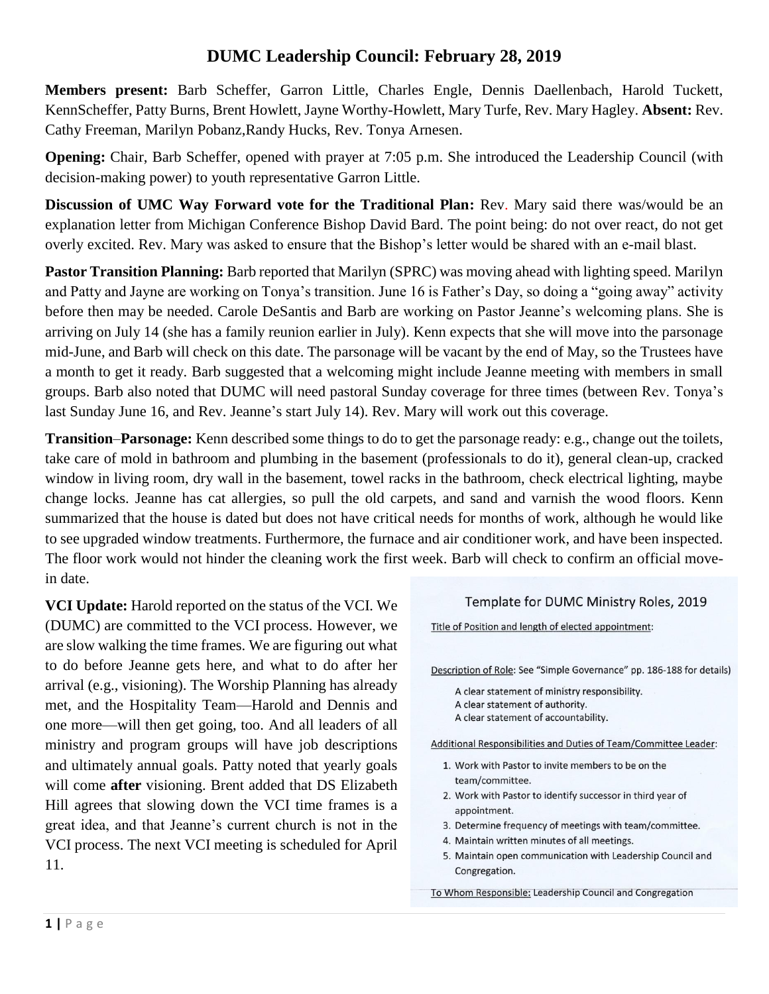## **DUMC Leadership Council: February 28, 2019**

**Members present:** Barb Scheffer, Garron Little, Charles Engle, Dennis Daellenbach, Harold Tuckett, KennScheffer, Patty Burns, Brent Howlett, Jayne Worthy-Howlett, Mary Turfe, Rev. Mary Hagley. **Absent:** Rev. Cathy Freeman, Marilyn Pobanz,Randy Hucks, Rev. Tonya Arnesen.

**Opening:** Chair, Barb Scheffer, opened with prayer at 7:05 p.m. She introduced the Leadership Council (with decision-making power) to youth representative Garron Little.

**Discussion of UMC Way Forward vote for the Traditional Plan:** Rev. Mary said there was/would be an explanation letter from Michigan Conference Bishop David Bard. The point being: do not over react, do not get overly excited. Rev. Mary was asked to ensure that the Bishop's letter would be shared with an e-mail blast.

**Pastor Transition Planning:** Barb reported that Marilyn (SPRC) was moving ahead with lighting speed. Marilyn and Patty and Jayne are working on Tonya's transition. June 16 is Father's Day, so doing a "going away" activity before then may be needed. Carole DeSantis and Barb are working on Pastor Jeanne's welcoming plans. She is arriving on July 14 (she has a family reunion earlier in July). Kenn expects that she will move into the parsonage mid-June, and Barb will check on this date. The parsonage will be vacant by the end of May, so the Trustees have a month to get it ready. Barb suggested that a welcoming might include Jeanne meeting with members in small groups. Barb also noted that DUMC will need pastoral Sunday coverage for three times (between Rev. Tonya's last Sunday June 16, and Rev. Jeanne's start July 14). Rev. Mary will work out this coverage.

**Transition**–**Parsonage:** Kenn described some things to do to get the parsonage ready: e.g., change out the toilets, take care of mold in bathroom and plumbing in the basement (professionals to do it), general clean-up, cracked window in living room, dry wall in the basement, towel racks in the bathroom, check electrical lighting, maybe change locks. Jeanne has cat allergies, so pull the old carpets, and sand and varnish the wood floors. Kenn summarized that the house is dated but does not have critical needs for months of work, although he would like to see upgraded window treatments. Furthermore, the furnace and air conditioner work, and have been inspected. The floor work would not hinder the cleaning work the first week. Barb will check to confirm an official movein date.

**VCI Update:** Harold reported on the status of the VCI. We (DUMC) are committed to the VCI process. However, we are slow walking the time frames. We are figuring out what to do before Jeanne gets here, and what to do after her arrival (e.g., visioning). The Worship Planning has already met, and the Hospitality Team—Harold and Dennis and one more—will then get going, too. And all leaders of all ministry and program groups will have job descriptions and ultimately annual goals. Patty noted that yearly goals will come **after** visioning. Brent added that DS Elizabeth Hill agrees that slowing down the VCI time frames is a great idea, and that Jeanne's current church is not in the VCI process. The next VCI meeting is scheduled for April 11.

## Template for DUMC Ministry Roles, 2019

Title of Position and length of elected appointment:

Description of Role: See "Simple Governance" pp. 186-188 for details)

A clear statement of ministry responsibility. A clear statement of authority. A clear statement of accountability.

Additional Responsibilities and Duties of Team/Committee Leader:

- 1. Work with Pastor to invite members to be on the team/committee.
- 2. Work with Pastor to identify successor in third year of appointment.
- 3. Determine frequency of meetings with team/committee.
- 4. Maintain written minutes of all meetings.
- 5. Maintain open communication with Leadership Council and Congregation.

To Whom Responsible: Leadership Council and Congregation